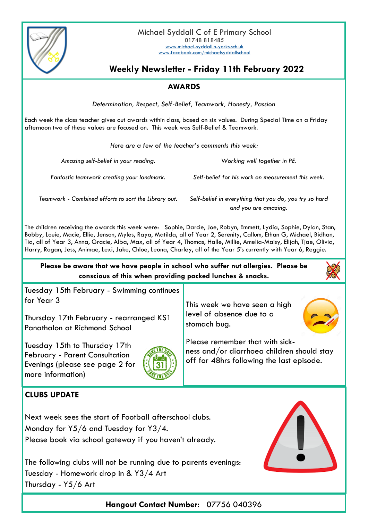

Michael Syddall C of E Primary School 01748 818485 [www.michael-syddall.n-yorks.sch.uk](http://www.michael-syddall.n-yorks.sch.uk) [www.facebook.com/michaelsyddallschool](http://www.facebook.com/michaelsyddallschool)

# **Weekly Newsletter - Friday 11th February 2022**

## **AWARDS**

*Determination, Respect, Self-Belief, Teamwork, Honesty, Passion*

Each week the class teacher gives out awards within class, based on six values. During Special Time on a Friday afternoon two of these values are focused on. This week was Self-Belief & Teamwork.

*Here are a few of the teacher's comments this week:*

*Amazing self-belief in your reading. Working well together in PE.*

*Fantastic teamwork creating your landmark. Self-belief for his work on measurement this week.*

*Teamwork - Combined efforts to sort the Library out. Self-belief in everything that you do, you try so hard* 

*and you are amazing.*

The children receiving the awards this week were: Sophie, Darcie, Joe, Robyn, Emmett, Lydia, Sophie, Dylan, Stan, Bobby, Louie, Macie, Ellie, Jenson, Myles, Raya, Matilda, all of Year 2, Serenity, Callum, Ethan G, Michael, Bidhan, Tia, all of Year 3, Anna, Gracie, Alba, Max, all of Year 4, Thomas, Halle, Millie, Amelia-Maisy, Elijah, Tjae, Olivia, Harry, Rogan, Jess, Animae, Lexi, Jake, Chloe, Leona, Charley, all of the Year 5's currently with Year 6, Reggie.

**Please be aware that we have people in school who suffer nut allergies. Please be conscious of this when providing packed lunches & snacks.**

Tuesday 15th February - Swimming continues for Year 3

Thursday 17th February - rearranged KS1 Panathalon at Richmond School

Tuesday 15th to Thursday 17th February - Parent Consultation Evenings (please see page 2 for more information)



This week we have seen a high level of absence due to a stomach bug.



Please remember that with sickness and/or diarrhoea children should stay off for 48hrs following the last episode.

### **CLUBS UPDATE**

Next week sees the start of Football afterschool clubs. Monday for Y5/6 and Tuesday for Y3/4. Please book via school gateway if you haven't already.

The following clubs will not be running due to parents evenings: Tuesday - Homework drop in & Y3/4 Art Thursday - Y5/6 Art



**Hangout Contact Number:** 07756 040396